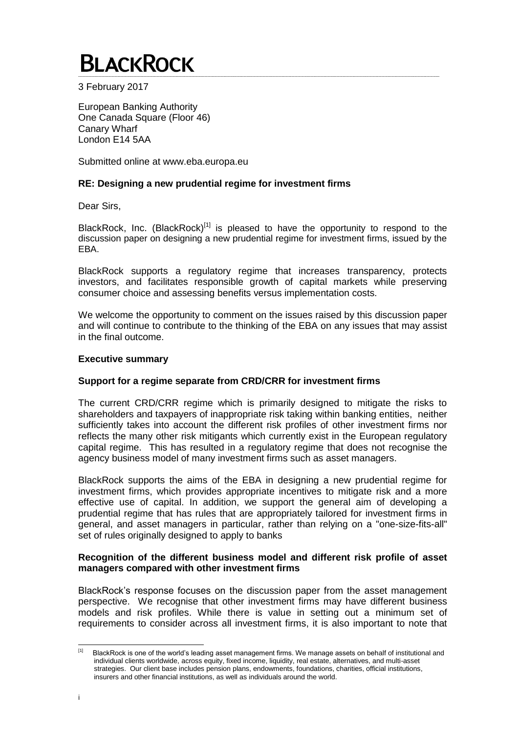3 February 2017

European Banking Authority One Canada Square (Floor 46) Canary Wharf London E14 5AA

Submitted online at www.eba.europa.eu

# **RE: Designing a new prudential regime for investment firms**

Dear Sirs,

BlackRock, Inc. (BlackRock)<sup>[1]</sup> is pleased to have the opportunity to respond to the discussion paper on designing a new prudential regime for investment firms, issued by the EBA.

BlackRock supports a regulatory regime that increases transparency, protects investors, and facilitates responsible growth of capital markets while preserving consumer choice and assessing benefits versus implementation costs.

We welcome the opportunity to comment on the issues raised by this discussion paper and will continue to contribute to the thinking of the EBA on any issues that may assist in the final outcome.

#### **Executive summary**

# **Support for a regime separate from CRD/CRR for investment firms**

The current CRD/CRR regime which is primarily designed to mitigate the risks to shareholders and taxpayers of inappropriate risk taking within banking entities, neither sufficiently takes into account the different risk profiles of other investment firms nor reflects the many other risk mitigants which currently exist in the European regulatory capital regime. This has resulted in a regulatory regime that does not recognise the agency business model of many investment firms such as asset managers.

BlackRock supports the aims of the EBA in designing a new prudential regime for investment firms, which provides appropriate incentives to mitigate risk and a more effective use of capital. In addition, we support the general aim of developing a prudential regime that has rules that are appropriately tailored for investment firms in general, and asset managers in particular, rather than relying on a "one-size-fits-all" set of rules originally designed to apply to banks

## **Recognition of the different business model and different risk profile of asset managers compared with other investment firms**

BlackRock's response focuses on the discussion paper from the asset management perspective. We recognise that other investment firms may have different business models and risk profiles. While there is value in setting out a minimum set of requirements to consider across all investment firms, it is also important to note that

<sup>|&</sup>lt;br>[1] BlackRock is one of the world's leading asset management firms. We manage assets on behalf of institutional and individual clients worldwide, across equity, fixed income, liquidity, real estate, alternatives, and multi-asset strategies. Our client base includes pension plans, endowments, foundations, charities, official institutions, insurers and other financial institutions, as well as individuals around the world.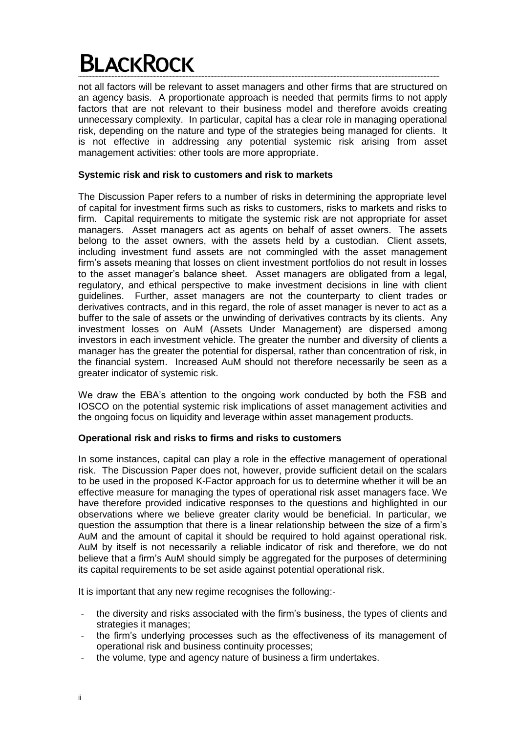not all factors will be relevant to asset managers and other firms that are structured on an agency basis. A proportionate approach is needed that permits firms to not apply factors that are not relevant to their business model and therefore avoids creating unnecessary complexity. In particular, capital has a clear role in managing operational risk, depending on the nature and type of the strategies being managed for clients. It is not effective in addressing any potential systemic risk arising from asset management activities: other tools are more appropriate.

# **Systemic risk and risk to customers and risk to markets**

The Discussion Paper refers to a number of risks in determining the appropriate level of capital for investment firms such as risks to customers, risks to markets and risks to firm. Capital requirements to mitigate the systemic risk are not appropriate for asset managers. Asset managers act as agents on behalf of asset owners. The assets belong to the asset owners, with the assets held by a custodian. Client assets, including investment fund assets are not commingled with the asset management firm's assets meaning that losses on client investment portfolios do not result in losses to the asset manager's balance sheet. Asset managers are obligated from a legal, regulatory, and ethical perspective to make investment decisions in line with client guidelines. Further, asset managers are not the counterparty to client trades or derivatives contracts, and in this regard, the role of asset manager is never to act as a buffer to the sale of assets or the unwinding of derivatives contracts by its clients. Any investment losses on AuM (Assets Under Management) are dispersed among investors in each investment vehicle. The greater the number and diversity of clients a manager has the greater the potential for dispersal, rather than concentration of risk, in the financial system. Increased AuM should not therefore necessarily be seen as a greater indicator of systemic risk.

We draw the EBA's attention to the ongoing work conducted by both the FSB and IOSCO on the potential systemic risk implications of asset management activities and the ongoing focus on liquidity and leverage within asset management products.

# **Operational risk and risks to firms and risks to customers**

In some instances, capital can play a role in the effective management of operational risk. The Discussion Paper does not, however, provide sufficient detail on the scalars to be used in the proposed K-Factor approach for us to determine whether it will be an effective measure for managing the types of operational risk asset managers face. We have therefore provided indicative responses to the questions and highlighted in our observations where we believe greater clarity would be beneficial. In particular, we question the assumption that there is a linear relationship between the size of a firm's AuM and the amount of capital it should be required to hold against operational risk. AuM by itself is not necessarily a reliable indicator of risk and therefore, we do not believe that a firm's AuM should simply be aggregated for the purposes of determining its capital requirements to be set aside against potential operational risk.

It is important that any new regime recognises the following:-

- the diversity and risks associated with the firm's business, the types of clients and strategies it manages;
- the firm's underlying processes such as the effectiveness of its management of operational risk and business continuity processes;
- the volume, type and agency nature of business a firm undertakes.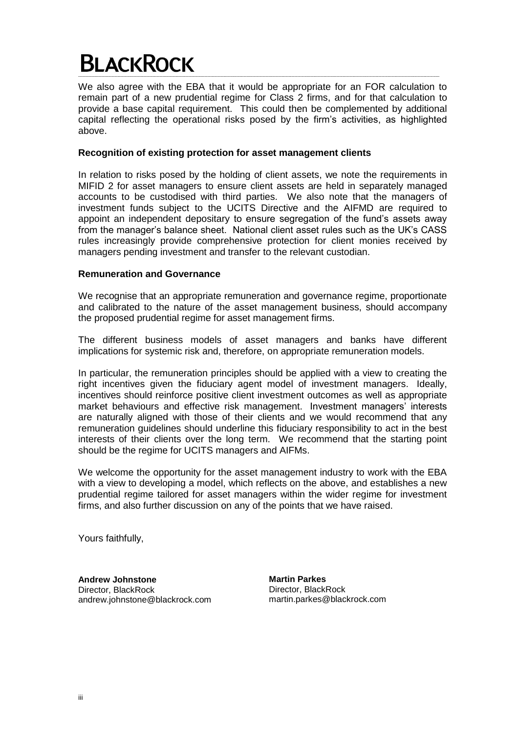We also agree with the EBA that it would be appropriate for an FOR calculation to remain part of a new prudential regime for Class 2 firms, and for that calculation to provide a base capital requirement. This could then be complemented by additional capital reflecting the operational risks posed by the firm's activities, as highlighted above.

## **Recognition of existing protection for asset management clients**

In relation to risks posed by the holding of client assets, we note the requirements in MIFID 2 for asset managers to ensure client assets are held in separately managed accounts to be custodised with third parties. We also note that the managers of investment funds subject to the UCITS Directive and the AIFMD are required to appoint an independent depositary to ensure segregation of the fund's assets away from the manager's balance sheet. National client asset rules such as the UK's CASS rules increasingly provide comprehensive protection for client monies received by managers pending investment and transfer to the relevant custodian.

## **Remuneration and Governance**

We recognise that an appropriate remuneration and governance regime, proportionate and calibrated to the nature of the asset management business, should accompany the proposed prudential regime for asset management firms.

The different business models of asset managers and banks have different implications for systemic risk and, therefore, on appropriate remuneration models.

In particular, the remuneration principles should be applied with a view to creating the right incentives given the fiduciary agent model of investment managers. Ideally, incentives should reinforce positive client investment outcomes as well as appropriate market behaviours and effective risk management. Investment managers' interests are naturally aligned with those of their clients and we would recommend that any remuneration guidelines should underline this fiduciary responsibility to act in the best interests of their clients over the long term. We recommend that the starting point should be the regime for UCITS managers and AIFMs.

We welcome the opportunity for the asset management industry to work with the EBA with a view to developing a model, which reflects on the above, and establishes a new prudential regime tailored for asset managers within the wider regime for investment firms, and also further discussion on any of the points that we have raised.

Yours faithfully,

**Andrew Johnstone** Director, BlackRock andrew.johnstone@blackrock.com **Martin Parkes** Director, BlackRock martin.parkes@blackrock.com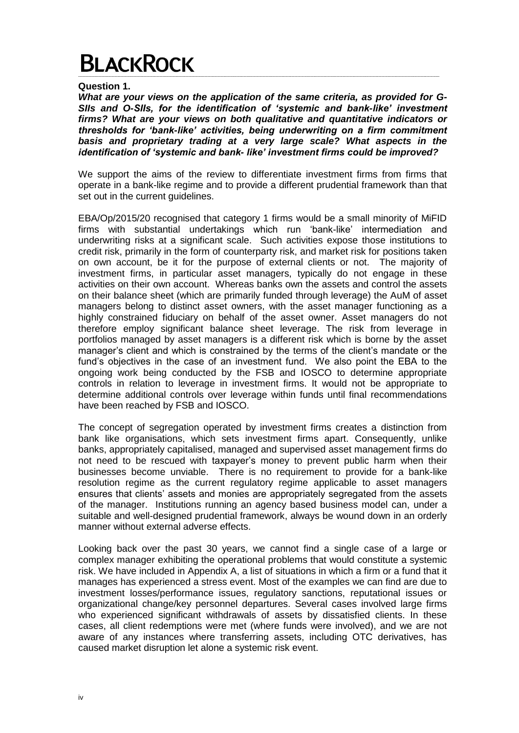**Question 1.** 

*What are your views on the application of the same criteria, as provided for G-SIIs and O-SIIs, for the identification of 'systemic and bank-like' investment firms? What are your views on both qualitative and quantitative indicators or thresholds for 'bank-like' activities, being underwriting on a firm commitment basis and proprietary trading at a very large scale? What aspects in the identification of 'systemic and bank- like' investment firms could be improved?*

We support the aims of the review to differentiate investment firms from firms that operate in a bank-like regime and to provide a different prudential framework than that set out in the current quidelines.

EBA/Op/2015/20 recognised that category 1 firms would be a small minority of MiFID firms with substantial undertakings which run 'bank-like' intermediation and underwriting risks at a significant scale. Such activities expose those institutions to credit risk, primarily in the form of counterparty risk, and market risk for positions taken on own account, be it for the purpose of external clients or not. The majority of investment firms, in particular asset managers, typically do not engage in these activities on their own account. Whereas banks own the assets and control the assets on their balance sheet (which are primarily funded through leverage) the AuM of asset managers belong to distinct asset owners, with the asset manager functioning as a highly constrained fiduciary on behalf of the asset owner. Asset managers do not therefore employ significant balance sheet leverage. The risk from leverage in portfolios managed by asset managers is a different risk which is borne by the asset manager's client and which is constrained by the terms of the client's mandate or the fund's objectives in the case of an investment fund. We also point the EBA to the ongoing work being conducted by the FSB and IOSCO to determine appropriate controls in relation to leverage in investment firms. It would not be appropriate to determine additional controls over leverage within funds until final recommendations have been reached by FSB and IOSCO.

The concept of segregation operated by investment firms creates a distinction from bank like organisations, which sets investment firms apart. Consequently, unlike banks, appropriately capitalised, managed and supervised asset management firms do not need to be rescued with taxpayer's money to prevent public harm when their businesses become unviable. There is no requirement to provide for a bank-like resolution regime as the current regulatory regime applicable to asset managers ensures that clients' assets and monies are appropriately segregated from the assets of the manager. Institutions running an agency based business model can, under a suitable and well-designed prudential framework, always be wound down in an orderly manner without external adverse effects.

Looking back over the past 30 years, we cannot find a single case of a large or complex manager exhibiting the operational problems that would constitute a systemic risk. We have included in Appendix A, a list of situations in which a firm or a fund that it manages has experienced a stress event. Most of the examples we can find are due to investment losses/performance issues, regulatory sanctions, reputational issues or organizational change/key personnel departures. Several cases involved large firms who experienced significant withdrawals of assets by dissatisfied clients. In these cases, all client redemptions were met (where funds were involved), and we are not aware of any instances where transferring assets, including OTC derivatives, has caused market disruption let alone a systemic risk event.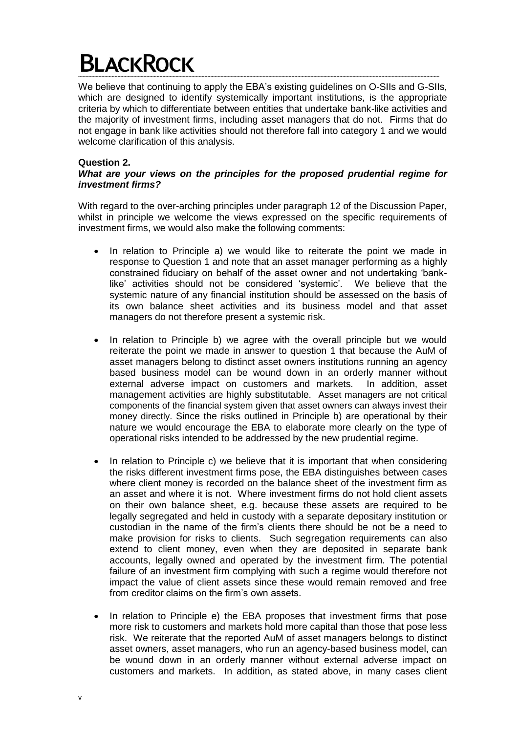We believe that continuing to apply the EBA's existing guidelines on O-SIIs and G-SIIs, which are designed to identify systemically important institutions, is the appropriate criteria by which to differentiate between entities that undertake bank-like activities and the majority of investment firms, including asset managers that do not. Firms that do not engage in bank like activities should not therefore fall into category 1 and we would welcome clarification of this analysis.

# **Question 2.**

# *What are your views on the principles for the proposed prudential regime for investment firms?*

With regard to the over-arching principles under paragraph 12 of the Discussion Paper, whilst in principle we welcome the views expressed on the specific requirements of investment firms, we would also make the following comments:

- In relation to Principle a) we would like to reiterate the point we made in response to Question 1 and note that an asset manager performing as a highly constrained fiduciary on behalf of the asset owner and not undertaking 'banklike' activities should not be considered 'systemic'. We believe that the systemic nature of any financial institution should be assessed on the basis of its own balance sheet activities and its business model and that asset managers do not therefore present a systemic risk.
- In relation to Principle b) we agree with the overall principle but we would reiterate the point we made in answer to question 1 that because the AuM of asset managers belong to distinct asset owners institutions running an agency based business model can be wound down in an orderly manner without external adverse impact on customers and markets. In addition, asset management activities are highly substitutable. Asset managers are not critical components of the financial system given that asset owners can always invest their money directly. Since the risks outlined in Principle b) are operational by their nature we would encourage the EBA to elaborate more clearly on the type of operational risks intended to be addressed by the new prudential regime.
- In relation to Principle c) we believe that it is important that when considering the risks different investment firms pose, the EBA distinguishes between cases where client money is recorded on the balance sheet of the investment firm as an asset and where it is not. Where investment firms do not hold client assets on their own balance sheet, e.g. because these assets are required to be legally segregated and held in custody with a separate depositary institution or custodian in the name of the firm's clients there should be not be a need to make provision for risks to clients. Such segregation requirements can also extend to client money, even when they are deposited in separate bank accounts, legally owned and operated by the investment firm. The potential failure of an investment firm complying with such a regime would therefore not impact the value of client assets since these would remain removed and free from creditor claims on the firm's own assets.
- In relation to Principle e) the EBA proposes that investment firms that pose more risk to customers and markets hold more capital than those that pose less risk. We reiterate that the reported AuM of asset managers belongs to distinct asset owners, asset managers, who run an agency-based business model, can be wound down in an orderly manner without external adverse impact on customers and markets. In addition, as stated above, in many cases client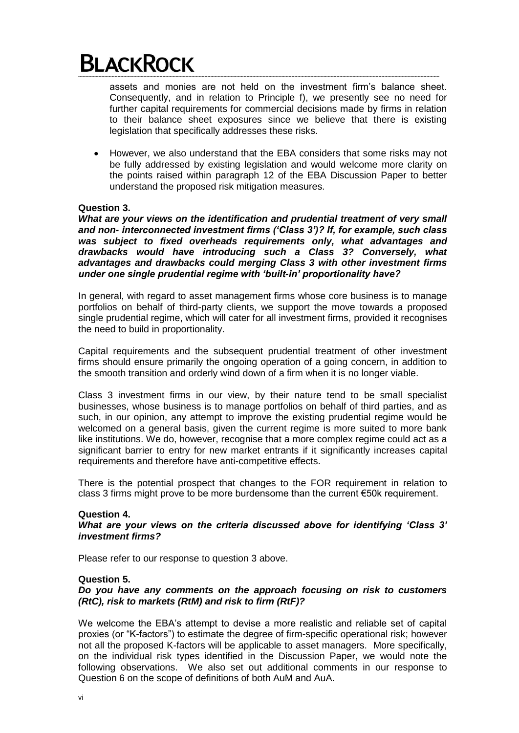assets and monies are not held on the investment firm's balance sheet. Consequently, and in relation to Principle f), we presently see no need for further capital requirements for commercial decisions made by firms in relation to their balance sheet exposures since we believe that there is existing legislation that specifically addresses these risks.

 However, we also understand that the EBA considers that some risks may not be fully addressed by existing legislation and would welcome more clarity on the points raised within paragraph 12 of the EBA Discussion Paper to better understand the proposed risk mitigation measures.

## **Question 3.**

*What are your views on the identification and prudential treatment of very small and non- interconnected investment firms ('Class 3')? If, for example, such class was subject to fixed overheads requirements only, what advantages and drawbacks would have introducing such a Class 3? Conversely, what advantages and drawbacks could merging Class 3 with other investment firms under one single prudential regime with 'built-in' proportionality have?*

In general, with regard to asset management firms whose core business is to manage portfolios on behalf of third-party clients, we support the move towards a proposed single prudential regime, which will cater for all investment firms, provided it recognises the need to build in proportionality.

Capital requirements and the subsequent prudential treatment of other investment firms should ensure primarily the ongoing operation of a going concern, in addition to the smooth transition and orderly wind down of a firm when it is no longer viable.

Class 3 investment firms in our view, by their nature tend to be small specialist businesses, whose business is to manage portfolios on behalf of third parties, and as such, in our opinion, any attempt to improve the existing prudential regime would be welcomed on a general basis, given the current regime is more suited to more bank like institutions. We do, however, recognise that a more complex regime could act as a significant barrier to entry for new market entrants if it significantly increases capital requirements and therefore have anti-competitive effects.

There is the potential prospect that changes to the FOR requirement in relation to class 3 firms might prove to be more burdensome than the current €50k requirement.

#### **Question 4.**

#### *What are your views on the criteria discussed above for identifying 'Class 3' investment firms?*

Please refer to our response to question 3 above.

#### **Question 5.**

# *Do you have any comments on the approach focusing on risk to customers (RtC), risk to markets (RtM) and risk to firm (RtF)?*

We welcome the EBA's attempt to devise a more realistic and reliable set of capital proxies (or "K-factors") to estimate the degree of firm-specific operational risk; however not all the proposed K-factors will be applicable to asset managers. More specifically, on the individual risk types identified in the Discussion Paper, we would note the following observations. We also set out additional comments in our response to Question 6 on the scope of definitions of both AuM and AuA.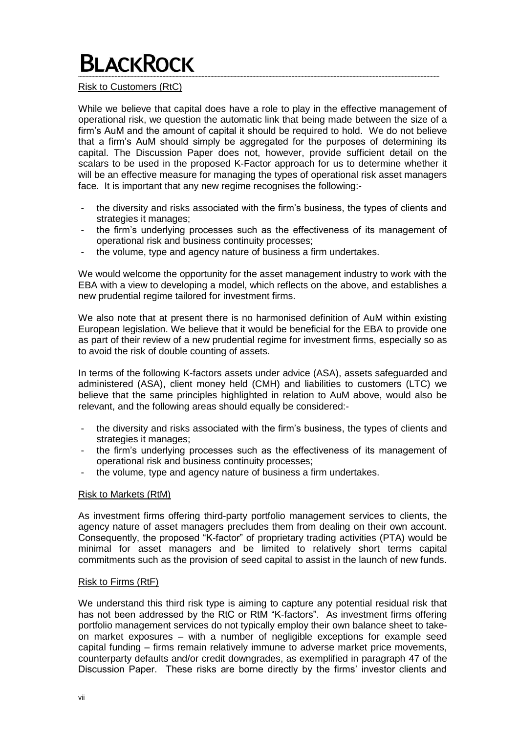## Risk to Customers (RtC)

While we believe that capital does have a role to play in the effective management of operational risk, we question the automatic link that being made between the size of a firm's AuM and the amount of capital it should be required to hold. We do not believe that a firm's AuM should simply be aggregated for the purposes of determining its capital. The Discussion Paper does not, however, provide sufficient detail on the scalars to be used in the proposed K-Factor approach for us to determine whether it will be an effective measure for managing the types of operational risk asset managers face. It is important that any new regime recognises the following:-

- the diversity and risks associated with the firm's business, the types of clients and strategies it manages;
- the firm's underlying processes such as the effectiveness of its management of operational risk and business continuity processes;
- the volume, type and agency nature of business a firm undertakes.

We would welcome the opportunity for the asset management industry to work with the EBA with a view to developing a model, which reflects on the above, and establishes a new prudential regime tailored for investment firms.

We also note that at present there is no harmonised definition of AuM within existing European legislation. We believe that it would be beneficial for the EBA to provide one as part of their review of a new prudential regime for investment firms, especially so as to avoid the risk of double counting of assets.

In terms of the following K-factors assets under advice (ASA), assets safeguarded and administered (ASA), client money held (CMH) and liabilities to customers (LTC) we believe that the same principles highlighted in relation to AuM above, would also be relevant, and the following areas should equally be considered:-

- the diversity and risks associated with the firm's business, the types of clients and strategies it manages;
- the firm's underlying processes such as the effectiveness of its management of operational risk and business continuity processes;
- the volume, type and agency nature of business a firm undertakes.

#### Risk to Markets (RtM)

As investment firms offering third-party portfolio management services to clients, the agency nature of asset managers precludes them from dealing on their own account. Consequently, the proposed "K-factor" of proprietary trading activities (PTA) would be minimal for asset managers and be limited to relatively short terms capital commitments such as the provision of seed capital to assist in the launch of new funds.

#### Risk to Firms (RtF)

We understand this third risk type is aiming to capture any potential residual risk that has not been addressed by the RtC or RtM "K-factors". As investment firms offering portfolio management services do not typically employ their own balance sheet to takeon market exposures – with a number of negligible exceptions for example seed capital funding – firms remain relatively immune to adverse market price movements, counterparty defaults and/or credit downgrades, as exemplified in paragraph 47 of the Discussion Paper. These risks are borne directly by the firms' investor clients and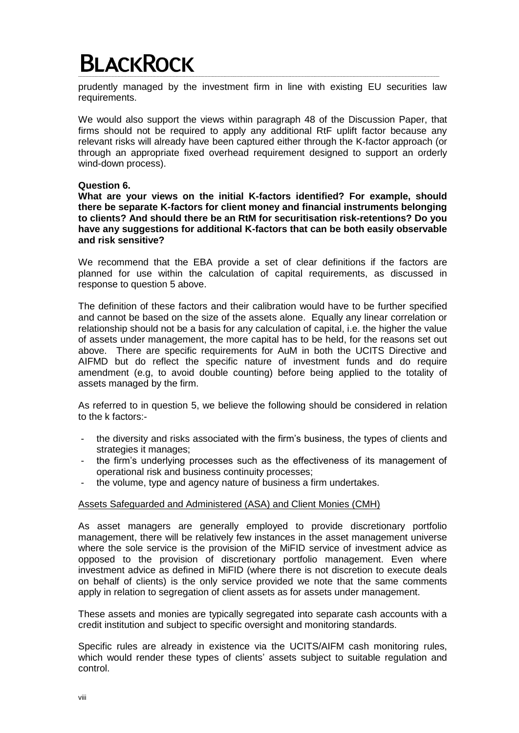prudently managed by the investment firm in line with existing EU securities law requirements.

We would also support the views within paragraph 48 of the Discussion Paper, that firms should not be required to apply any additional RtF uplift factor because any relevant risks will already have been captured either through the K-factor approach (or through an appropriate fixed overhead requirement designed to support an orderly wind-down process).

## **Question 6.**

**What are your views on the initial K-factors identified? For example, should there be separate K-factors for client money and financial instruments belonging to clients? And should there be an RtM for securitisation risk-retentions? Do you have any suggestions for additional K-factors that can be both easily observable and risk sensitive?**

We recommend that the EBA provide a set of clear definitions if the factors are planned for use within the calculation of capital requirements, as discussed in response to question 5 above.

The definition of these factors and their calibration would have to be further specified and cannot be based on the size of the assets alone. Equally any linear correlation or relationship should not be a basis for any calculation of capital, i.e. the higher the value of assets under management, the more capital has to be held, for the reasons set out above. There are specific requirements for AuM in both the UCITS Directive and AIFMD but do reflect the specific nature of investment funds and do require amendment (e.g, to avoid double counting) before being applied to the totality of assets managed by the firm.

As referred to in question 5, we believe the following should be considered in relation to the k factors:-

- the diversity and risks associated with the firm's business, the types of clients and strategies it manages;
- the firm's underlying processes such as the effectiveness of its management of operational risk and business continuity processes;
- the volume, type and agency nature of business a firm undertakes.

#### Assets Safeguarded and Administered (ASA) and Client Monies (CMH)

As asset managers are generally employed to provide discretionary portfolio management, there will be relatively few instances in the asset management universe where the sole service is the provision of the MiFID service of investment advice as opposed to the provision of discretionary portfolio management. Even where investment advice as defined in MiFID (where there is not discretion to execute deals on behalf of clients) is the only service provided we note that the same comments apply in relation to segregation of client assets as for assets under management.

These assets and monies are typically segregated into separate cash accounts with a credit institution and subject to specific oversight and monitoring standards.

Specific rules are already in existence via the UCITS/AIFM cash monitoring rules, which would render these types of clients' assets subject to suitable regulation and control.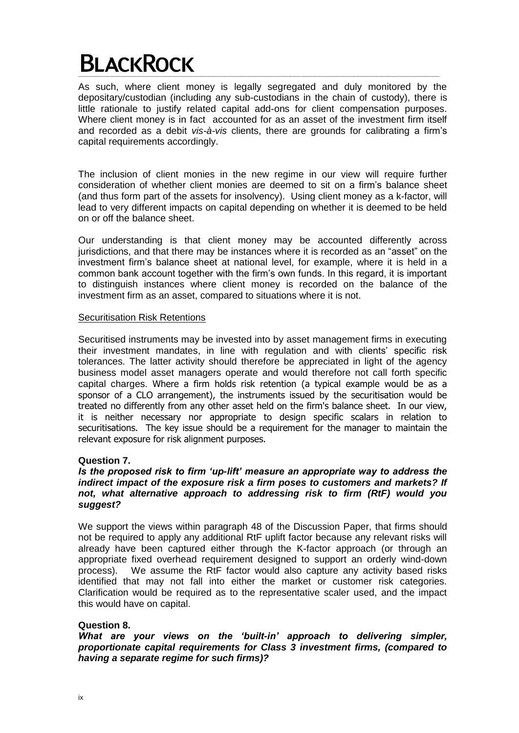As such, where client money is legally segregated and duly monitored by the depositary/custodian (including any sub-custodians in the chain of custody), there is little rationale to justify related capital add-ons for client compensation purposes. Where client money is in fact accounted for as an asset of the investment firm itself and recorded as a debit *vis-à-vis* clients, there are grounds for calibrating a firm's capital requirements accordingly.

The inclusion of client monies in the new regime in our view will require further consideration of whether client monies are deemed to sit on a firm's balance sheet (and thus form part of the assets for insolvency). Using client money as a k-factor, will lead to very different impacts on capital depending on whether it is deemed to be held on or off the balance sheet.

Our understanding is that client money may be accounted differently across jurisdictions, and that there may be instances where it is recorded as an "asset" on the investment firm's balance sheet at national level, for example, where it is held in a common bank account together with the firm's own funds. In this regard, it is important to distinguish instances where client money is recorded on the balance of the investment firm as an asset, compared to situations where it is not.

## Securitisation Risk Retentions

Securitised instruments may be invested into by asset management firms in executing their investment mandates, in line with regulation and with clients' specific risk tolerances. The latter activity should therefore be appreciated in light of the agency business model asset managers operate and would therefore not call forth specific capital charges. Where a firm holds risk retention (a typical example would be as a sponsor of a CLO arrangement), the instruments issued by the securitisation would be treated no differently from any other asset held on the firm's balance sheet. In our view, it is neither necessary nor appropriate to design specific scalars in relation to securitisations. The key issue should be a requirement for the manager to maintain the relevant exposure for risk alignment purposes.

# **Question 7.**

## *Is the proposed risk to firm 'up-lift' measure an appropriate way to address the indirect impact of the exposure risk a firm poses to customers and markets? If not, what alternative approach to addressing risk to firm (RtF) would you suggest?*

We support the views within paragraph 48 of the Discussion Paper, that firms should not be required to apply any additional RtF uplift factor because any relevant risks will already have been captured either through the K-factor approach (or through an appropriate fixed overhead requirement designed to support an orderly wind-down process). We assume the RtF factor would also capture any activity based risks identified that may not fall into either the market or customer risk categories. Clarification would be required as to the representative scaler used, and the impact this would have on capital.

# **Question 8.**

*What are your views on the 'built-in' approach to delivering simpler, proportionate capital requirements for Class 3 investment firms, (compared to having a separate regime for such firms)?*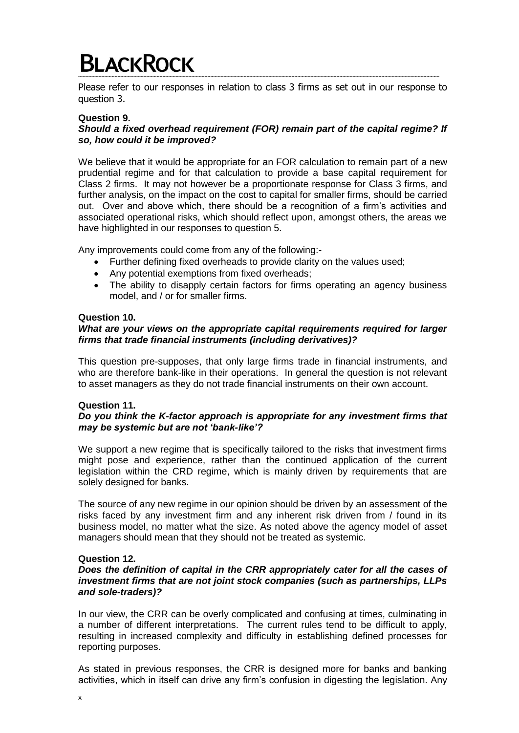Please refer to our responses in relation to class 3 firms as set out in our response to question 3.

## **Question 9.**

# *Should a fixed overhead requirement (FOR) remain part of the capital regime? If so, how could it be improved?*

We believe that it would be appropriate for an FOR calculation to remain part of a new prudential regime and for that calculation to provide a base capital requirement for Class 2 firms. It may not however be a proportionate response for Class 3 firms, and further analysis, on the impact on the cost to capital for smaller firms, should be carried out. Over and above which, there should be a recognition of a firm's activities and associated operational risks, which should reflect upon, amongst others, the areas we have highlighted in our responses to question 5.

Any improvements could come from any of the following:-

- Further defining fixed overheads to provide clarity on the values used;
- Any potential exemptions from fixed overheads;
- The ability to disapply certain factors for firms operating an agency business model, and / or for smaller firms.

#### **Question 10.**

## *What are your views on the appropriate capital requirements required for larger firms that trade financial instruments (including derivatives)?*

This question pre-supposes, that only large firms trade in financial instruments, and who are therefore bank-like in their operations. In general the question is not relevant to asset managers as they do not trade financial instruments on their own account.

#### **Question 11.**

## *Do you think the K-factor approach is appropriate for any investment firms that may be systemic but are not 'bank-like'?*

We support a new regime that is specifically tailored to the risks that investment firms might pose and experience, rather than the continued application of the current legislation within the CRD regime, which is mainly driven by requirements that are solely designed for banks.

The source of any new regime in our opinion should be driven by an assessment of the risks faced by any investment firm and any inherent risk driven from / found in its business model, no matter what the size. As noted above the agency model of asset managers should mean that they should not be treated as systemic.

#### **Question 12.**

#### *Does the definition of capital in the CRR appropriately cater for all the cases of investment firms that are not joint stock companies (such as partnerships, LLPs and sole-traders)?*

In our view, the CRR can be overly complicated and confusing at times, culminating in a number of different interpretations. The current rules tend to be difficult to apply, resulting in increased complexity and difficulty in establishing defined processes for reporting purposes.

As stated in previous responses, the CRR is designed more for banks and banking activities, which in itself can drive any firm's confusion in digesting the legislation. Any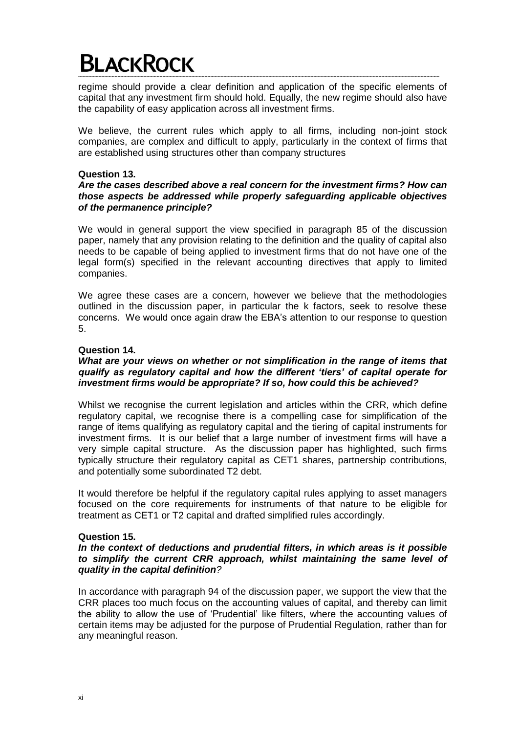regime should provide a clear definition and application of the specific elements of capital that any investment firm should hold. Equally, the new regime should also have the capability of easy application across all investment firms.

We believe, the current rules which apply to all firms, including non-joint stock companies, are complex and difficult to apply, particularly in the context of firms that are established using structures other than company structures

## **Question 13.**

## *Are the cases described above a real concern for the investment firms? How can those aspects be addressed while properly safeguarding applicable objectives of the permanence principle?*

We would in general support the view specified in paragraph 85 of the discussion paper, namely that any provision relating to the definition and the quality of capital also needs to be capable of being applied to investment firms that do not have one of the legal form(s) specified in the relevant accounting directives that apply to limited companies.

We agree these cases are a concern, however we believe that the methodologies outlined in the discussion paper, in particular the k factors, seek to resolve these concerns. We would once again draw the EBA's attention to our response to question 5.

# **Question 14.**

## *What are your views on whether or not simplification in the range of items that qualify as regulatory capital and how the different 'tiers' of capital operate for investment firms would be appropriate? If so, how could this be achieved?*

Whilst we recognise the current legislation and articles within the CRR, which define regulatory capital, we recognise there is a compelling case for simplification of the range of items qualifying as regulatory capital and the tiering of capital instruments for investment firms. It is our belief that a large number of investment firms will have a very simple capital structure. As the discussion paper has highlighted, such firms typically structure their regulatory capital as CET1 shares, partnership contributions, and potentially some subordinated T2 debt.

It would therefore be helpful if the regulatory capital rules applying to asset managers focused on the core requirements for instruments of that nature to be eligible for treatment as CET1 or T2 capital and drafted simplified rules accordingly.

#### **Question 15.**

## *In the context of deductions and prudential filters, in which areas is it possible to simplify the current CRR approach, whilst maintaining the same level of quality in the capital definition?*

In accordance with paragraph 94 of the discussion paper, we support the view that the CRR places too much focus on the accounting values of capital, and thereby can limit the ability to allow the use of 'Prudential' like filters, where the accounting values of certain items may be adjusted for the purpose of Prudential Regulation, rather than for any meaningful reason.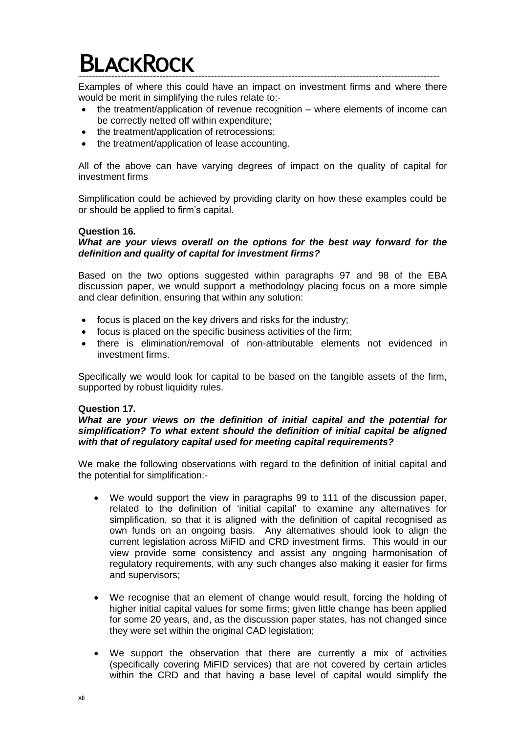Examples of where this could have an impact on investment firms and where there would be merit in simplifying the rules relate to:-

- the treatment/application of revenue recognition where elements of income can be correctly netted off within expenditure;
- the treatment/application of retrocessions:
- the treatment/application of lease accounting.

All of the above can have varying degrees of impact on the quality of capital for investment firms

Simplification could be achieved by providing clarity on how these examples could be or should be applied to firm's capital.

#### **Question 16.**

#### *What are your views overall on the options for the best way forward for the definition and quality of capital for investment firms?*

Based on the two options suggested within paragraphs 97 and 98 of the EBA discussion paper, we would support a methodology placing focus on a more simple and clear definition, ensuring that within any solution:

- focus is placed on the key drivers and risks for the industry;
- focus is placed on the specific business activities of the firm;
- there is elimination/removal of non-attributable elements not evidenced in investment firms.

Specifically we would look for capital to be based on the tangible assets of the firm, supported by robust liquidity rules.

#### **Question 17.**

#### *What are your views on the definition of initial capital and the potential for simplification? To what extent should the definition of initial capital be aligned with that of regulatory capital used for meeting capital requirements?*

We make the following observations with regard to the definition of initial capital and the potential for simplification:-

- We would support the view in paragraphs 99 to 111 of the discussion paper, related to the definition of 'initial capital' to examine any alternatives for simplification, so that it is aligned with the definition of capital recognised as own funds on an ongoing basis. Any alternatives should look to align the current legislation across MiFID and CRD investment firms. This would in our view provide some consistency and assist any ongoing harmonisation of regulatory requirements, with any such changes also making it easier for firms and supervisors;
- We recognise that an element of change would result, forcing the holding of higher initial capital values for some firms; given little change has been applied for some 20 years, and, as the discussion paper states, has not changed since they were set within the original CAD legislation;
- We support the observation that there are currently a mix of activities (specifically covering MiFID services) that are not covered by certain articles within the CRD and that having a base level of capital would simplify the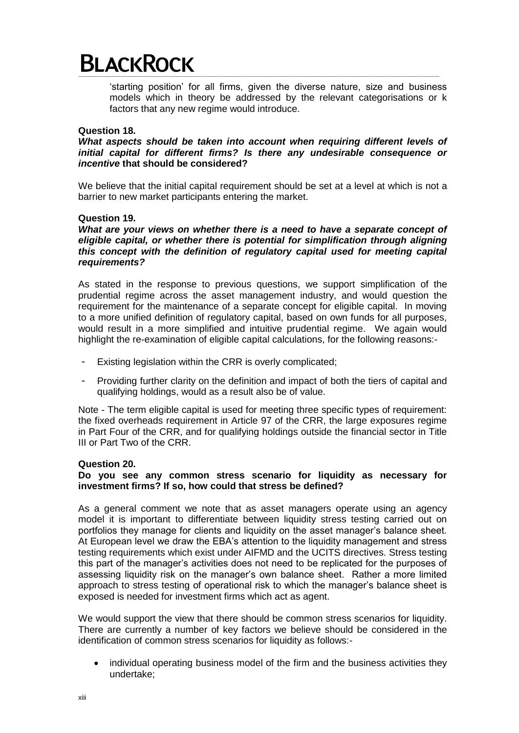'starting position' for all firms, given the diverse nature, size and business models which in theory be addressed by the relevant categorisations or k factors that any new regime would introduce.

#### **Question 18.**

*What aspects should be taken into account when requiring different levels of initial capital for different firms? Is there any undesirable consequence or incentive* **that should be considered?**

We believe that the initial capital requirement should be set at a level at which is not a barrier to new market participants entering the market.

## **Question 19.**

What are your views on whether there is a need to have a separate concept of eligible capital, or whether there is potential for simplification through aligning *this concept with the definition of regulatory capital used for meeting capital requirements?*

As stated in the response to previous questions, we support simplification of the prudential regime across the asset management industry, and would question the requirement for the maintenance of a separate concept for eligible capital. In moving to a more unified definition of regulatory capital, based on own funds for all purposes, would result in a more simplified and intuitive prudential regime. We again would highlight the re-examination of eligible capital calculations, for the following reasons:-

- Existing legislation within the CRR is overly complicated;
- Providing further clarity on the definition and impact of both the tiers of capital and qualifying holdings, would as a result also be of value.

Note - The term eligible capital is used for meeting three specific types of requirement: the fixed overheads requirement in Article 97 of the CRR, the large exposures regime in Part Four of the CRR, and for qualifying holdings outside the financial sector in Title III or Part Two of the CRR.

## **Question 20.**

## **Do you see any common stress scenario for liquidity as necessary for investment firms? If so, how could that stress be defined?**

As a general comment we note that as asset managers operate using an agency model it is important to differentiate between liquidity stress testing carried out on portfolios they manage for clients and liquidity on the asset manager's balance sheet. At European level we draw the EBA's attention to the liquidity management and stress testing requirements which exist under AIFMD and the UCITS directives. Stress testing this part of the manager's activities does not need to be replicated for the purposes of assessing liquidity risk on the manager's own balance sheet. Rather a more limited approach to stress testing of operational risk to which the manager's balance sheet is exposed is needed for investment firms which act as agent.

We would support the view that there should be common stress scenarios for liquidity. There are currently a number of key factors we believe should be considered in the identification of common stress scenarios for liquidity as follows:-

 individual operating business model of the firm and the business activities they undertake;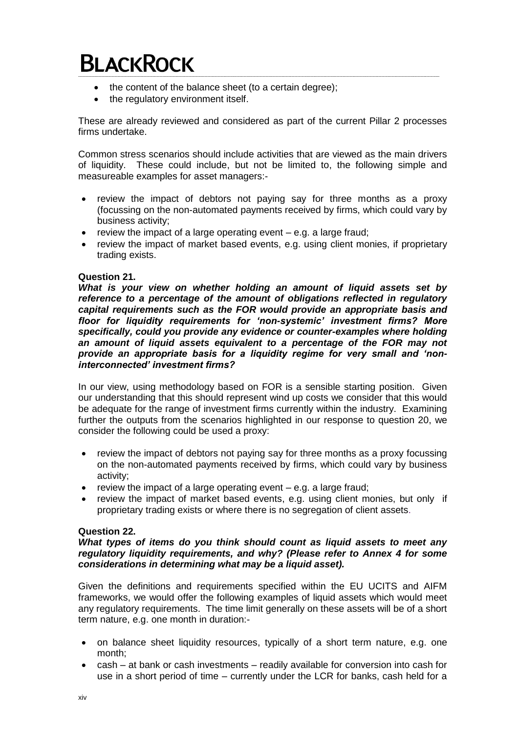- the content of the balance sheet (to a certain degree);
- the regulatory environment itself.

These are already reviewed and considered as part of the current Pillar 2 processes firms undertake.

Common stress scenarios should include activities that are viewed as the main drivers of liquidity. These could include, but not be limited to, the following simple and measureable examples for asset managers:-

- review the impact of debtors not paying say for three months as a proxy (focussing on the non-automated payments received by firms, which could vary by business activity;
- review the impact of a large operating event  $-$  e.g. a large fraud;
- review the impact of market based events, e.g. using client monies, if proprietary trading exists.

# **Question 21.**

*What is your view on whether holding an amount of liquid assets set by reference to a percentage of the amount of obligations reflected in regulatory capital requirements such as the FOR would provide an appropriate basis and floor for liquidity requirements for 'non-systemic' investment firms? More specifically, could you provide any evidence or counter-examples where holding an amount of liquid assets equivalent to a percentage of the FOR may not provide an appropriate basis for a liquidity regime for very small and 'noninterconnected' investment firms?*

In our view, using methodology based on FOR is a sensible starting position. Given our understanding that this should represent wind up costs we consider that this would be adequate for the range of investment firms currently within the industry. Examining further the outputs from the scenarios highlighted in our response to question 20, we consider the following could be used a proxy:

- review the impact of debtors not paying say for three months as a proxy focussing on the non-automated payments received by firms, which could vary by business activity;
- review the impact of a large operating event  $-$  e.g. a large fraud;
- review the impact of market based events, e.g. using client monies, but only if proprietary trading exists or where there is no segregation of client assets.

# **Question 22.**

#### *What types of items do you think should count as liquid assets to meet any regulatory liquidity requirements, and why? (Please refer to Annex 4 for some considerations in determining what may be a liquid asset).*

Given the definitions and requirements specified within the EU UCITS and AIFM frameworks, we would offer the following examples of liquid assets which would meet any regulatory requirements. The time limit generally on these assets will be of a short term nature, e.g. one month in duration:-

- on balance sheet liquidity resources, typically of a short term nature, e.g. one month;
- cash at bank or cash investments readily available for conversion into cash for use in a short period of time – currently under the LCR for banks, cash held for a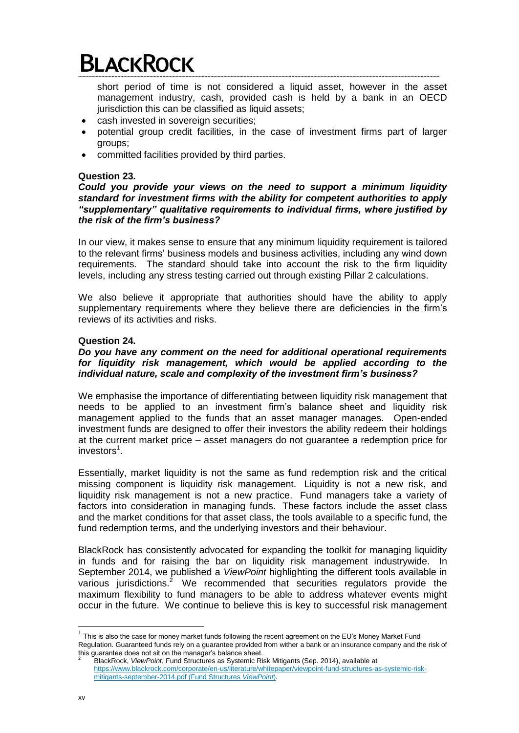short period of time is not considered a liquid asset, however in the asset management industry, cash, provided cash is held by a bank in an OECD jurisdiction this can be classified as liquid assets;

- cash invested in sovereign securities;
- potential group credit facilities, in the case of investment firms part of larger groups;
- committed facilities provided by third parties.

## **Question 23.**

*Could you provide your views on the need to support a minimum liquidity standard for investment firms with the ability for competent authorities to apply "supplementary" qualitative requirements to individual firms, where justified by the risk of the firm's business?*

In our view, it makes sense to ensure that any minimum liquidity requirement is tailored to the relevant firms' business models and business activities, including any wind down requirements. The standard should take into account the risk to the firm liquidity levels, including any stress testing carried out through existing Pillar 2 calculations.

We also believe it appropriate that authorities should have the ability to apply supplementary requirements where they believe there are deficiencies in the firm's reviews of its activities and risks.

## **Question 24.**

## *Do you have any comment on the need for additional operational requirements for liquidity risk management, which would be applied according to the individual nature, scale and complexity of the investment firm's business?*

We emphasise the importance of differentiating between liquidity risk management that needs to be applied to an investment firm's balance sheet and liquidity risk management applied to the funds that an asset manager manages. Open-ended investment funds are designed to offer their investors the ability redeem their holdings at the current market price – asset managers do not guarantee a redemption price for investors<sup>1</sup>.

Essentially, market liquidity is not the same as fund redemption risk and the critical missing component is liquidity risk management. Liquidity is not a new risk, and liquidity risk management is not a new practice. Fund managers take a variety of factors into consideration in managing funds. These factors include the asset class and the market conditions for that asset class, the tools available to a specific fund, the fund redemption terms, and the underlying investors and their behaviour.

BlackRock has consistently advocated for expanding the toolkit for managing liquidity in funds and for raising the bar on liquidity risk management industrywide. In September 2014, we published a *ViewPoint* highlighting the different tools available in various jurisdictions.<sup>2</sup> We recommended that securities regulators provide the maximum flexibility to fund managers to be able to address whatever events might occur in the future. We continue to believe this is key to successful risk management

This is also the case for money market funds following the recent agreement on the EU's Money Market Fund<br><sup>1</sup> This is also the case for money market funds following the recent agreement on the EU's Money Market Fund Regulation. Guaranteed funds rely on a guarantee provided from wither a bank or an insurance company and the risk of this guarantee does not sit on the manager's balance sheet.

<sup>2</sup> BlackRock, *ViewPoint*, Fund Structures as Systemic Risk Mitigants (Sep. 2014), available at [https://www.blackrock.com/corporate/en-us/literature/whitepaper/viewpoint-fund-structures-as-systemic-risk](https://www.blackrock.com/corporate/en-us/literature/whitepaper/viewpoint-fund-structures-as-systemic-risk-mitigants-september-2014.pdf)[mitigants-september-2014.pdf](https://www.blackrock.com/corporate/en-us/literature/whitepaper/viewpoint-fund-structures-as-systemic-risk-mitigants-september-2014.pdf) (Fund Structures *ViewPoint*).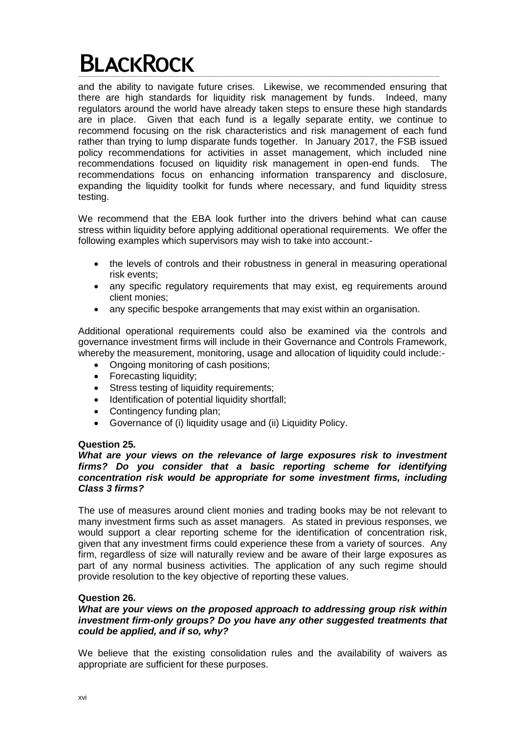and the ability to navigate future crises. Likewise, we recommended ensuring that there are high standards for liquidity risk management by funds. Indeed, many regulators around the world have already taken steps to ensure these high standards are in place. Given that each fund is a legally separate entity, we continue to recommend focusing on the risk characteristics and risk management of each fund rather than trying to lump disparate funds together. In January 2017, the FSB issued policy recommendations for activities in asset management, which included nine recommendations focused on liquidity risk management in open-end funds. The recommendations focus on enhancing information transparency and disclosure, expanding the liquidity toolkit for funds where necessary, and fund liquidity stress testing.

We recommend that the EBA look further into the drivers behind what can cause stress within liquidity before applying additional operational requirements. We offer the following examples which supervisors may wish to take into account:-

- the levels of controls and their robustness in general in measuring operational risk events;
- any specific regulatory requirements that may exist, eg requirements around client monies;
- any specific bespoke arrangements that may exist within an organisation.

Additional operational requirements could also be examined via the controls and governance investment firms will include in their Governance and Controls Framework, whereby the measurement, monitoring, usage and allocation of liquidity could include:-

- Ongoing monitoring of cash positions;
- Forecasting liquidity;
- Stress testing of liquidity requirements:
- Identification of potential liquidity shortfall;
- Contingency funding plan;
- Governance of (i) liquidity usage and (ii) Liquidity Policy.

#### **Question 25.**

#### *What are your views on the relevance of large exposures risk to investment firms? Do you consider that a basic reporting scheme for identifying concentration risk would be appropriate for some investment firms, including Class 3 firms?*

The use of measures around client monies and trading books may be not relevant to many investment firms such as asset managers. As stated in previous responses, we would support a clear reporting scheme for the identification of concentration risk, given that any investment firms could experience these from a variety of sources. Any firm, regardless of size will naturally review and be aware of their large exposures as part of any normal business activities. The application of any such regime should provide resolution to the key objective of reporting these values.

#### **Question 26.**

## *What are your views on the proposed approach to addressing group risk within investment firm-only groups? Do you have any other suggested treatments that could be applied, and if so, why?*

We believe that the existing consolidation rules and the availability of waivers as appropriate are sufficient for these purposes.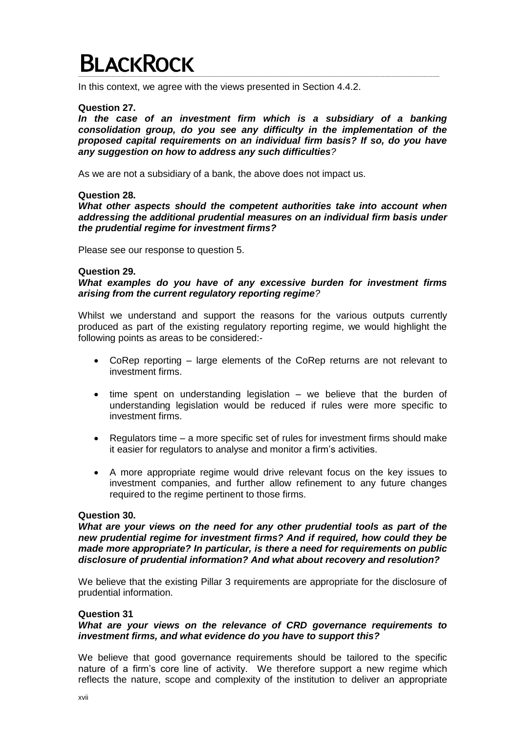In this context, we agree with the views presented in Section 4.4.2.

#### **Question 27.**

*In the case of an investment firm which is a subsidiary of a banking consolidation group, do you see any difficulty in the implementation of the proposed capital requirements on an individual firm basis? If so, do you have any suggestion on how to address any such difficulties?*

As we are not a subsidiary of a bank, the above does not impact us.

## **Question 28.**

*What other aspects should the competent authorities take into account when addressing the additional prudential measures on an individual firm basis under the prudential regime for investment firms?*

Please see our response to question 5.

#### **Question 29.**

*What examples do you have of any excessive burden for investment firms arising from the current regulatory reporting regime?*

Whilst we understand and support the reasons for the various outputs currently produced as part of the existing regulatory reporting regime, we would highlight the following points as areas to be considered:-

- CoRep reporting large elements of the CoRep returns are not relevant to investment firms.
- time spent on understanding legislation we believe that the burden of understanding legislation would be reduced if rules were more specific to investment firms.
- Regulators time a more specific set of rules for investment firms should make it easier for regulators to analyse and monitor a firm's activities.
- A more appropriate regime would drive relevant focus on the key issues to investment companies, and further allow refinement to any future changes required to the regime pertinent to those firms.

#### **Question 30.**

*What are your views on the need for any other prudential tools as part of the new prudential regime for investment firms? And if required, how could they be made more appropriate? In particular, is there a need for requirements on public disclosure of prudential information? And what about recovery and resolution?*

We believe that the existing Pillar 3 requirements are appropriate for the disclosure of prudential information.

#### **Question 31**

#### *What are your views on the relevance of CRD governance requirements to investment firms, and what evidence do you have to support this?*

We believe that good governance requirements should be tailored to the specific nature of a firm's core line of activity. We therefore support a new regime which reflects the nature, scope and complexity of the institution to deliver an appropriate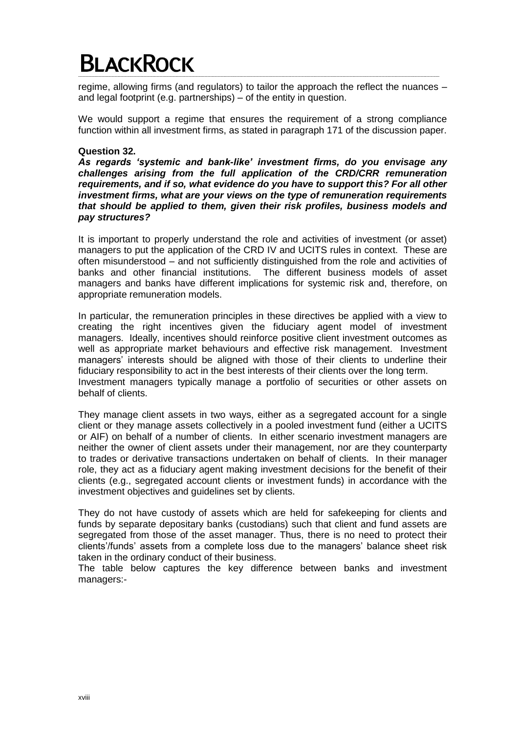regime, allowing firms (and regulators) to tailor the approach the reflect the nuances – and legal footprint (e.g. partnerships) – of the entity in question.

We would support a regime that ensures the requirement of a strong compliance function within all investment firms, as stated in paragraph 171 of the discussion paper.

## **Question 32.**

*As regards 'systemic and bank-like' investment firms, do you envisage any challenges arising from the full application of the CRD/CRR remuneration requirements, and if so, what evidence do you have to support this? For all other investment firms, what are your views on the type of remuneration requirements that should be applied to them, given their risk profiles, business models and pay structures?*

It is important to properly understand the role and activities of investment (or asset) managers to put the application of the CRD IV and UCITS rules in context. These are often misunderstood – and not sufficiently distinguished from the role and activities of banks and other financial institutions. The different business models of asset managers and banks have different implications for systemic risk and, therefore, on appropriate remuneration models.

In particular, the remuneration principles in these directives be applied with a view to creating the right incentives given the fiduciary agent model of investment managers. Ideally, incentives should reinforce positive client investment outcomes as well as appropriate market behaviours and effective risk management. Investment managers' interests should be aligned with those of their clients to underline their fiduciary responsibility to act in the best interests of their clients over the long term. Investment managers typically manage a portfolio of securities or other assets on behalf of clients.

They manage client assets in two ways, either as a segregated account for a single client or they manage assets collectively in a pooled investment fund (either a UCITS or AIF) on behalf of a number of clients. In either scenario investment managers are neither the owner of client assets under their management, nor are they counterparty to trades or derivative transactions undertaken on behalf of clients. In their manager role, they act as a fiduciary agent making investment decisions for the benefit of their clients (e.g., segregated account clients or investment funds) in accordance with the investment objectives and guidelines set by clients.

They do not have custody of assets which are held for safekeeping for clients and funds by separate depositary banks (custodians) such that client and fund assets are segregated from those of the asset manager. Thus, there is no need to protect their clients'/funds' assets from a complete loss due to the managers' balance sheet risk taken in the ordinary conduct of their business.

The table below captures the key difference between banks and investment managers:-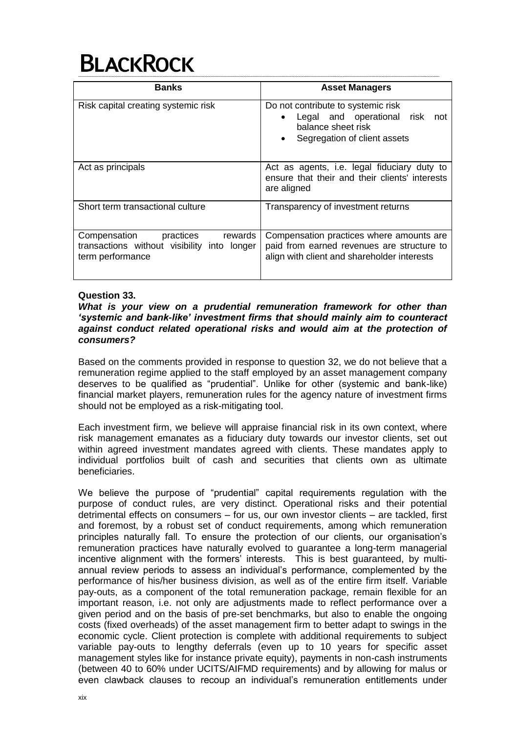# **BLACKROCK**

| <b>Banks</b>                                                                                            | <b>Asset Managers</b>                                                                                                                                   |  |  |  |  |
|---------------------------------------------------------------------------------------------------------|---------------------------------------------------------------------------------------------------------------------------------------------------------|--|--|--|--|
| Risk capital creating systemic risk                                                                     | Do not contribute to systemic risk<br>Legal and operational risk<br>not<br>$\bullet$<br>balance sheet risk<br>Segregation of client assets<br>$\bullet$ |  |  |  |  |
| Act as principals                                                                                       | Act as agents, i.e. legal fiduciary duty to<br>ensure that their and their clients' interests<br>are aligned                                            |  |  |  |  |
| Short term transactional culture                                                                        | Transparency of investment returns                                                                                                                      |  |  |  |  |
| Compensation<br>practices<br>rewards<br>transactions without visibility into longer<br>term performance | Compensation practices where amounts are.<br>paid from earned revenues are structure to<br>align with client and shareholder interests                  |  |  |  |  |

# **Question 33.**

## *What is your view on a prudential remuneration framework for other than 'systemic and bank-like' investment firms that should mainly aim to counteract against conduct related operational risks and would aim at the protection of consumers?*

Based on the comments provided in response to question 32, we do not believe that a remuneration regime applied to the staff employed by an asset management company deserves to be qualified as "prudential". Unlike for other (systemic and bank-like) financial market players, remuneration rules for the agency nature of investment firms should not be employed as a risk-mitigating tool.

Each investment firm, we believe will appraise financial risk in its own context, where risk management emanates as a fiduciary duty towards our investor clients, set out within agreed investment mandates agreed with clients. These mandates apply to individual portfolios built of cash and securities that clients own as ultimate beneficiaries.

We believe the purpose of "prudential" capital requirements regulation with the purpose of conduct rules, are very distinct. Operational risks and their potential detrimental effects on consumers – for us, our own investor clients – are tackled, first and foremost, by a robust set of conduct requirements, among which remuneration principles naturally fall. To ensure the protection of our clients, our organisation's remuneration practices have naturally evolved to guarantee a long-term managerial incentive alignment with the formers' interests. This is best guaranteed, by multiannual review periods to assess an individual's performance, complemented by the performance of his/her business division, as well as of the entire firm itself. Variable pay-outs, as a component of the total remuneration package, remain flexible for an important reason, i.e. not only are adjustments made to reflect performance over a given period and on the basis of pre-set benchmarks, but also to enable the ongoing costs (fixed overheads) of the asset management firm to better adapt to swings in the economic cycle. Client protection is complete with additional requirements to subject variable pay-outs to lengthy deferrals (even up to 10 years for specific asset management styles like for instance private equity), payments in non-cash instruments (between 40 to 60% under UCITS/AIFMD requirements) and by allowing for malus or even clawback clauses to recoup an individual's remuneration entitlements under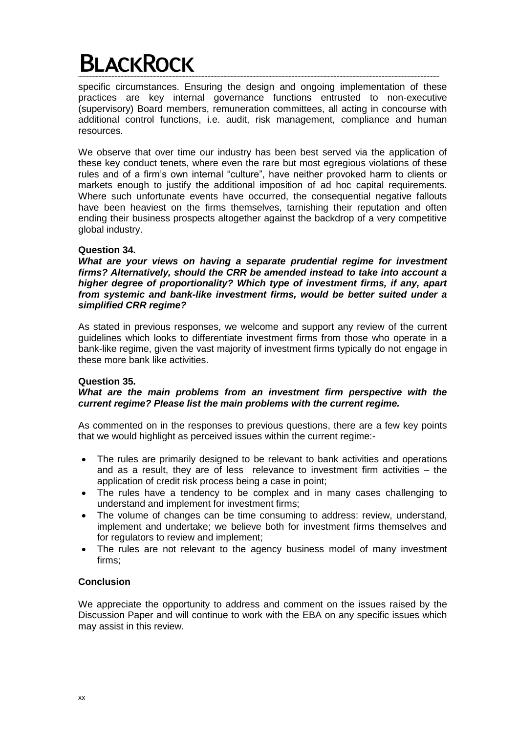specific circumstances. Ensuring the design and ongoing implementation of these practices are key internal governance functions entrusted to non-executive (supervisory) Board members, remuneration committees, all acting in concourse with additional control functions, i.e. audit, risk management, compliance and human resources.

We observe that over time our industry has been best served via the application of these key conduct tenets, where even the rare but most egregious violations of these rules and of a firm's own internal "culture", have neither provoked harm to clients or markets enough to justify the additional imposition of ad hoc capital requirements. Where such unfortunate events have occurred, the consequential negative fallouts have been heaviest on the firms themselves, tarnishing their reputation and often ending their business prospects altogether against the backdrop of a very competitive global industry.

# **Question 34.**

*What are your views on having a separate prudential regime for investment firms? Alternatively, should the CRR be amended instead to take into account a higher degree of proportionality? Which type of investment firms, if any, apart from systemic and bank-like investment firms, would be better suited under a simplified CRR regime?*

As stated in previous responses, we welcome and support any review of the current guidelines which looks to differentiate investment firms from those who operate in a bank-like regime, given the vast majority of investment firms typically do not engage in these more bank like activities.

# **Question 35.**

# *What are the main problems from an investment firm perspective with the current regime? Please list the main problems with the current regime.*

As commented on in the responses to previous questions, there are a few key points that we would highlight as perceived issues within the current regime:-

- The rules are primarily designed to be relevant to bank activities and operations and as a result, they are of less relevance to investment firm activities – the application of credit risk process being a case in point;
- The rules have a tendency to be complex and in many cases challenging to understand and implement for investment firms;
- The volume of changes can be time consuming to address: review, understand, implement and undertake; we believe both for investment firms themselves and for regulators to review and implement;
- The rules are not relevant to the agency business model of many investment firms;

# **Conclusion**

We appreciate the opportunity to address and comment on the issues raised by the Discussion Paper and will continue to work with the EBA on any specific issues which may assist in this review.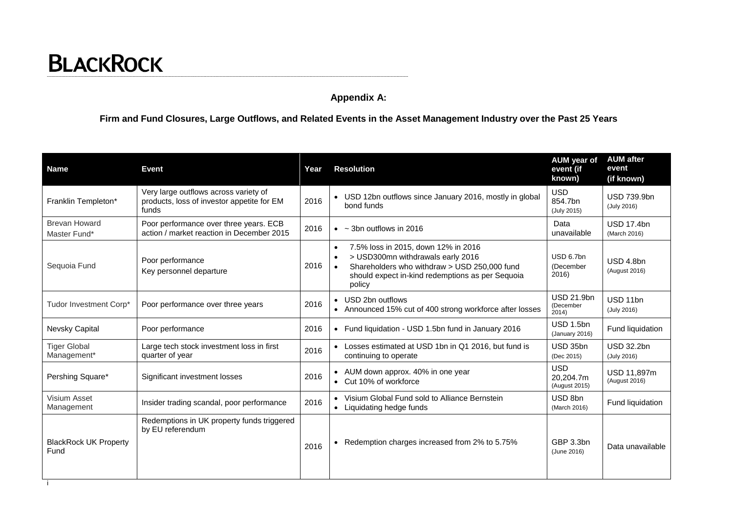# **Appendix A:**

**Firm and Fund Closures, Large Outflows, and Related Events in the Asset Management Industry over the Past 25 Years**

| <b>Name</b>                          | <b>Event</b>                                                                                 | Year | <b>Resolution</b>                                                                                                                                                                                                | AUM year of<br>event (if<br>known)       | <b>AUM</b> after<br>event<br>(if known) |
|--------------------------------------|----------------------------------------------------------------------------------------------|------|------------------------------------------------------------------------------------------------------------------------------------------------------------------------------------------------------------------|------------------------------------------|-----------------------------------------|
| Franklin Templeton*                  | Very large outflows across variety of<br>products, loss of investor appetite for EM<br>funds | 2016 | • USD 12bn outflows since January 2016, mostly in global<br>bond funds                                                                                                                                           | <b>USD</b><br>854.7bn<br>(July 2015)     | <b>USD 739.9bn</b><br>(July 2016)       |
| <b>Brevan Howard</b><br>Master Fund* | Poor performance over three years. ECB<br>action / market reaction in December 2015          | 2016 | $\bullet$ ~ 3bn outflows in 2016                                                                                                                                                                                 | Data<br>unavailable                      | <b>USD 17.4bn</b><br>(March 2016)       |
| Sequoia Fund                         | Poor performance<br>Key personnel departure                                                  | 2016 | 7.5% loss in 2015, down 12% in 2016<br>$\bullet$<br>> USD300mn withdrawals early 2016<br>Shareholders who withdraw > USD 250,000 fund<br>$\bullet$<br>should expect in-kind redemptions as per Sequoia<br>policy | USD 6.7bn<br>(December<br>2016)          | USD 4.8bn<br>(August 2016)              |
| Tudor Investment Corp*               | Poor performance over three years                                                            | 2016 | • USD 2bn outflows<br>• Announced 15% cut of 400 strong workforce after losses                                                                                                                                   | <b>USD 21.9bn</b><br>(December<br>2014)  | USD 11bn<br>(July 2016)                 |
| <b>Nevsky Capital</b>                | Poor performance                                                                             | 2016 | • Fund liquidation - USD 1.5bn fund in January 2016                                                                                                                                                              | USD 1.5bn<br>(January 2016)              | Fund liquidation                        |
| <b>Tiger Global</b><br>Management*   | Large tech stock investment loss in first<br>quarter of year                                 | 2016 | • Losses estimated at USD 1bn in Q1 2016, but fund is<br>continuing to operate                                                                                                                                   | USD 35bn<br>(Dec 2015)                   | <b>USD 32.2bn</b><br>(July 2016)        |
| Pershing Square*                     | Significant investment losses                                                                | 2016 | • AUM down approx. 40% in one year<br>• Cut 10% of workforce                                                                                                                                                     | <b>USD</b><br>20.204.7m<br>(August 2015) | USD 11.897m<br>(August 2016)            |
| Visium Asset<br>Management           | Insider trading scandal, poor performance                                                    | 2016 | • Visium Global Fund sold to Alliance Bernstein<br>• Liquidating hedge funds                                                                                                                                     | USD 8bn<br>(March 2016)                  | Fund liquidation                        |
| <b>BlackRock UK Property</b><br>Fund | Redemptions in UK property funds triggered<br>by EU referendum                               | 2016 | Redemption charges increased from 2% to 5.75%                                                                                                                                                                    | GBP 3.3bn<br>(June 2016)                 | Data unavailable                        |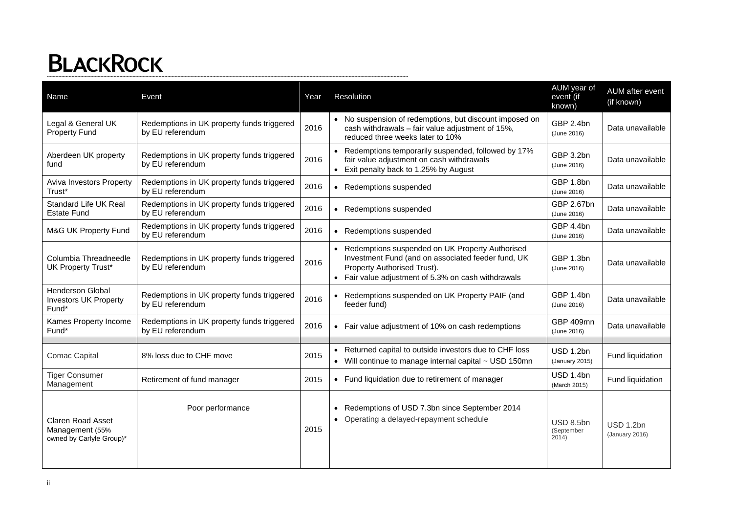| Name                                                                    | Event                                                          | Year | Resolution                                                                                                                                                                                    | AUM year of<br>event (if<br>known) | AUM after event<br>(if known) |
|-------------------------------------------------------------------------|----------------------------------------------------------------|------|-----------------------------------------------------------------------------------------------------------------------------------------------------------------------------------------------|------------------------------------|-------------------------------|
| Legal & General UK<br><b>Property Fund</b>                              | Redemptions in UK property funds triggered<br>by EU referendum | 2016 | • No suspension of redemptions, but discount imposed on<br>cash withdrawals - fair value adjustment of 15%,<br>reduced three weeks later to 10%                                               | GBP 2.4bn<br>(June 2016)           | Data unavailable              |
| Aberdeen UK property<br>fund                                            | Redemptions in UK property funds triggered<br>by EU referendum | 2016 | • Redemptions temporarily suspended, followed by 17%<br>fair value adjustment on cash withdrawals<br>• Exit penalty back to 1.25% by August                                                   | GBP 3.2bn<br>(June 2016)           | Data unavailable              |
| Aviva Investors Property<br>Trust*                                      | Redemptions in UK property funds triggered<br>by EU referendum | 2016 | • Redemptions suspended                                                                                                                                                                       | GBP 1.8bn<br>(June 2016)           | Data unavailable              |
| <b>Standard Life UK Real</b><br><b>Estate Fund</b>                      | Redemptions in UK property funds triggered<br>by EU referendum | 2016 | • Redemptions suspended                                                                                                                                                                       | GBP 2.67bn<br>(June 2016)          | Data unavailable              |
| M&G UK Property Fund                                                    | Redemptions in UK property funds triggered<br>by EU referendum | 2016 | • Redemptions suspended                                                                                                                                                                       | GBP 4.4bn<br>(June 2016)           | Data unavailable              |
| Columbia Threadneedle<br>UK Property Trust*                             | Redemptions in UK property funds triggered<br>by EU referendum | 2016 | • Redemptions suspended on UK Property Authorised<br>Investment Fund (and on associated feeder fund, UK<br>Property Authorised Trust).<br>• Fair value adjustment of 5.3% on cash withdrawals | GBP 1.3bn<br>(June 2016)           | Data unavailable              |
| Henderson Global<br><b>Investors UK Property</b><br>Fund*               | Redemptions in UK property funds triggered<br>by EU referendum | 2016 | • Redemptions suspended on UK Property PAIF (and<br>feeder fund)                                                                                                                              | GBP 1.4bn<br>(June 2016)           | Data unavailable              |
| Kames Property Income<br>Fund*                                          | Redemptions in UK property funds triggered<br>by EU referendum | 2016 | • Fair value adjustment of 10% on cash redemptions                                                                                                                                            | GBP 409mn<br>(June 2016)           | Data unavailable              |
| <b>Comac Capital</b>                                                    | 8% loss due to CHF move                                        | 2015 | • Returned capital to outside investors due to CHF loss<br>• Will continue to manage internal capital ~ USD 150mn                                                                             | USD 1.2bn<br>(January 2015)        | Fund liquidation              |
| <b>Tiger Consumer</b><br>Management                                     | Retirement of fund manager                                     | 2015 | • Fund liquidation due to retirement of manager                                                                                                                                               | USD 1.4bn<br>(March 2015)          | Fund liquidation              |
| <b>Claren Road Asset</b><br>Management (55%<br>owned by Carlyle Group)* | Poor performance                                               | 2015 | • Redemptions of USD 7.3bn since September 2014<br>• Operating a delayed-repayment schedule                                                                                                   | USD 8.5bn<br>(September<br>2014)   | USD 1.2bn<br>(January 2016)   |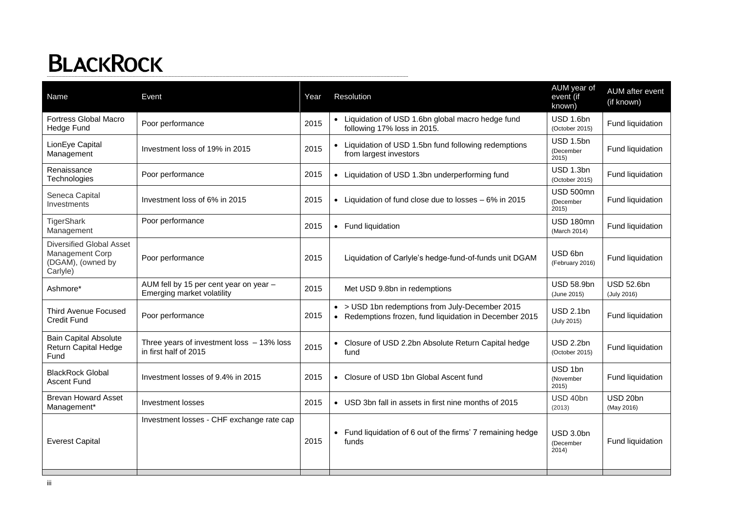| Name                                                                                | Event                                                                | Year | Resolution                                                                                               | AUM year of<br>event (if<br>known)    | AUM after event<br>(if known)    |
|-------------------------------------------------------------------------------------|----------------------------------------------------------------------|------|----------------------------------------------------------------------------------------------------------|---------------------------------------|----------------------------------|
| <b>Fortress Global Macro</b><br>Hedge Fund                                          | Poor performance                                                     | 2015 | • Liquidation of USD 1.6bn global macro hedge fund<br>following 17% loss in 2015.                        | USD 1.6bn<br>(October 2015)           | Fund liquidation                 |
| LionEye Capital<br>Management                                                       | Investment loss of 19% in 2015                                       | 2015 | • Liquidation of USD 1.5bn fund following redemptions<br>from largest investors                          | USD 1.5bn<br>(December<br>2015        | Fund liquidation                 |
| Renaissance<br>Technologies                                                         | Poor performance                                                     | 2015 | • Liquidation of USD 1.3bn underperforming fund                                                          | USD 1.3bn<br>(October 2015)           | Fund liquidation                 |
| Seneca Capital<br>Investments                                                       | Investment loss of 6% in 2015                                        | 2015 | • Liquidation of fund close due to losses - 6% in 2015                                                   | <b>USD 500mn</b><br>(December<br>2015 | Fund liquidation                 |
| TigerShark<br>Management                                                            | Poor performance                                                     | 2015 | • Fund liquidation                                                                                       | <b>USD 180mn</b><br>(March 2014)      | Fund liquidation                 |
| <b>Diversified Global Asset</b><br>Management Corp<br>(DGAM), (owned by<br>Carlyle) | Poor performance                                                     | 2015 | Liquidation of Carlyle's hedge-fund-of-funds unit DGAM                                                   | USD 6bn<br>(February 2016)            | Fund liquidation                 |
| Ashmore*                                                                            | AUM fell by 15 per cent year on year -<br>Emerging market volatility | 2015 | Met USD 9.8bn in redemptions                                                                             | <b>USD 58.9bn</b><br>(June 2015)      | <b>USD 52.6bn</b><br>(July 2016) |
| <b>Third Avenue Focused</b><br><b>Credit Fund</b>                                   | Poor performance                                                     | 2015 | • > USD 1bn redemptions from July-December 2015<br>Redemptions frozen, fund liquidation in December 2015 | <b>USD 2.1bn</b><br>(July 2015)       | Fund liquidation                 |
| <b>Bain Capital Absolute</b><br>Return Capital Hedge<br>Fund                        | Three years of investment loss $-13\%$ loss<br>in first half of 2015 | 2015 | • Closure of USD 2.2bn Absolute Return Capital hedge<br>fund                                             | USD 2.2bn<br>(October 2015)           | Fund liquidation                 |
| <b>BlackRock Global</b><br><b>Ascent Fund</b>                                       | Investment losses of 9.4% in 2015                                    | 2015 | • Closure of USD 1bn Global Ascent fund                                                                  | USD 1bn<br>(November<br>2015          | Fund liquidation                 |
| <b>Brevan Howard Asset</b><br>Management*                                           | Investment losses                                                    | 2015 | • USD 3bn fall in assets in first nine months of 2015                                                    | USD 40bn<br>(2013)                    | USD 20bn<br>(May 2016)           |
| <b>Everest Capital</b>                                                              | Investment losses - CHF exchange rate cap                            | 2015 | Fund liquidation of 6 out of the firms' 7 remaining hedge<br>funds                                       | USD 3.0bn<br>(December<br>2014)       | Fund liquidation                 |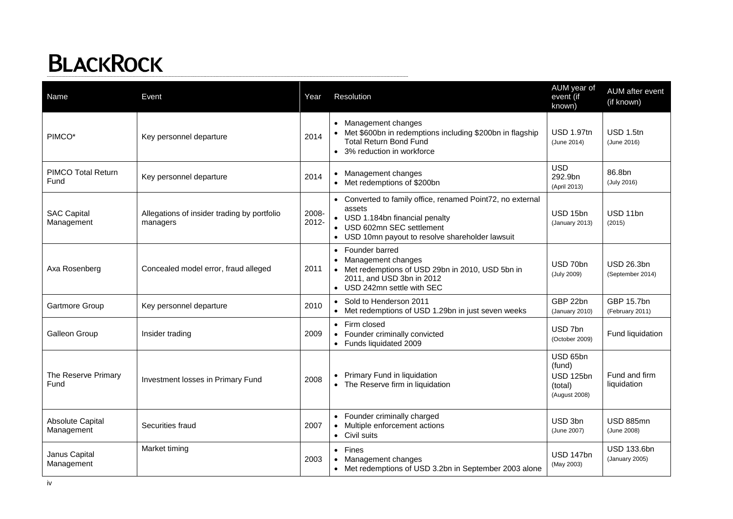| Name                                  | Event                                                   | Year           | Resolution                                                                                                                                                                                | AUM year of<br>event (if<br>known)                                 | AUM after event<br>(if known)         |
|---------------------------------------|---------------------------------------------------------|----------------|-------------------------------------------------------------------------------------------------------------------------------------------------------------------------------------------|--------------------------------------------------------------------|---------------------------------------|
| PIMCO*                                | Key personnel departure                                 | 2014           | • Management changes<br>• Met \$600bn in redemptions including \$200bn in flagship<br><b>Total Return Bond Fund</b><br>• 3% reduction in workforce                                        | <b>USD 1.97tn</b><br>(June 2014)                                   | USD 1.5tn<br>(June 2016)              |
| <b>PIMCO Total Return</b><br>Fund     | Key personnel departure                                 | 2014           | • Management changes<br>• Met redemptions of \$200bn                                                                                                                                      | <b>USD</b><br>292.9bn<br>(April 2013)                              | 86.8bn<br>(July 2016)                 |
| <b>SAC Capital</b><br>Management      | Allegations of insider trading by portfolio<br>managers | 2008-<br>2012- | • Converted to family office, renamed Point72, no external<br>assets<br>• USD 1.184bn financial penalty<br>• USD 602mn SEC settlement<br>• USD 10mn payout to resolve shareholder lawsuit | USD 15bn<br>(January 2013)                                         | USD 11bn<br>(2015)                    |
| Axa Rosenberg                         | Concealed model error, fraud alleged                    | 2011           | Founder barred<br>$\bullet$<br>Management changes<br>• Met redemptions of USD 29bn in 2010, USD 5bn in<br>2011, and USD 3bn in 2012<br>• USD 242mn settle with SEC                        | USD 70bn<br>(July 2009)                                            | <b>USD 26.3bn</b><br>(September 2014) |
| Gartmore Group                        | Key personnel departure                                 | 2010           | • Sold to Henderson 2011<br>• Met redemptions of USD 1.29bn in just seven weeks                                                                                                           | GBP 22bn<br>(January 2010)                                         | GBP 15.7bn<br>(February 2011)         |
| Galleon Group                         | Insider trading                                         | 2009           | • Firm closed<br>Founder criminally convicted<br>• Funds liquidated 2009                                                                                                                  | USD 7bn<br>(October 2009)                                          | Fund liquidation                      |
| The Reserve Primary<br>Fund           | Investment losses in Primary Fund                       | 2008           | Primary Fund in liquidation<br>• The Reserve firm in liquidation                                                                                                                          | USD 65bn<br>(fund)<br><b>USD 125bn</b><br>(total)<br>(August 2008) | Fund and firm<br>liquidation          |
| <b>Absolute Capital</b><br>Management | Securities fraud                                        | 2007           | Founder criminally charged<br>Multiple enforcement actions<br>• Civil suits                                                                                                               | USD 3bn<br>(June 2007)                                             | <b>USD 885mn</b><br>(June 2008)       |
| Janus Capital<br>Management           | Market timing                                           | 2003           | Fines<br>$\bullet$<br>Management changes<br>• Met redemptions of USD 3.2bn in September 2003 alone                                                                                        | USD 147bn<br>(May 2003)                                            | USD 133.6bn<br>(January 2005)         |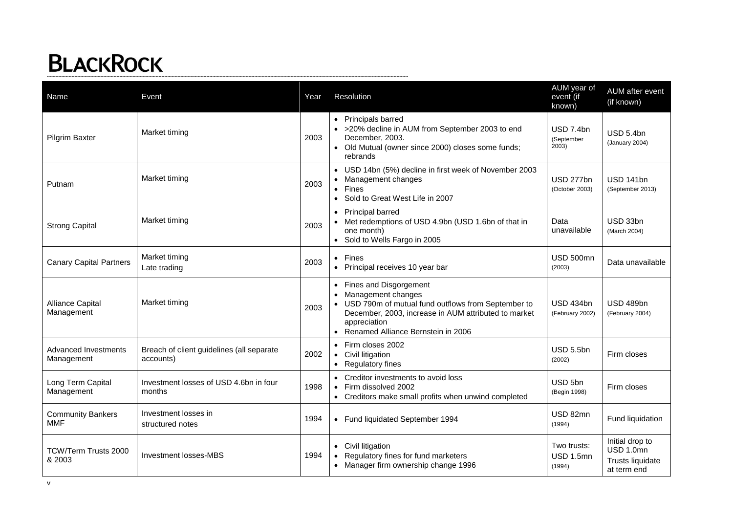| Name                                      | Event                                                  | Year | Resolution                                                                                                                                                                                                               | AUM year of<br>event (if<br>known)  | AUM after event<br>(if known)                                   |
|-------------------------------------------|--------------------------------------------------------|------|--------------------------------------------------------------------------------------------------------------------------------------------------------------------------------------------------------------------------|-------------------------------------|-----------------------------------------------------------------|
| Pilgrim Baxter                            | Market timing                                          | 2003 | • Principals barred<br>• >20% decline in AUM from September 2003 to end<br>December, 2003.<br>• Old Mutual (owner since 2000) closes some funds;<br>rebrands                                                             | USD 7.4bn<br>(September<br>2003)    | USD 5.4bn<br>(January 2004)                                     |
| Putnam                                    | Market timing                                          | 2003 | • USD 14bn (5%) decline in first week of November 2003<br>Management changes<br>Fines<br>$\bullet$<br>• Sold to Great West Life in 2007                                                                                  | USD 277bn<br>(October 2003)         | <b>USD 141bn</b><br>(September 2013)                            |
| <b>Strong Capital</b>                     | Market timing                                          | 2003 | Principal barred<br>• Met redemptions of USD 4.9bn (USD 1.6bn of that in<br>one month)<br>• Sold to Wells Fargo in 2005                                                                                                  | Data<br>unavailable                 | USD 33bn<br>(March 2004)                                        |
| <b>Canary Capital Partners</b>            | Market timing<br>Late trading                          | 2003 | $\bullet$ Fines<br>• Principal receives 10 year bar                                                                                                                                                                      | <b>USD 500mn</b><br>(2003)          | Data unavailable                                                |
| Alliance Capital<br>Management            | Market timing                                          | 2003 | • Fines and Disgorgement<br>• Management changes<br>• USD 790m of mutual fund outflows from September to<br>December, 2003, increase in AUM attributed to market<br>appreciation<br>• Renamed Alliance Bernstein in 2006 | <b>USD 434bn</b><br>(February 2002) | <b>USD 489bn</b><br>(February 2004)                             |
| <b>Advanced Investments</b><br>Management | Breach of client guidelines (all separate<br>accounts) | 2002 | • Firm closes 2002<br>Civil litigation<br>• Regulatory fines                                                                                                                                                             | <b>USD 5.5bn</b><br>(2002)          | Firm closes                                                     |
| Long Term Capital<br>Management           | Investment losses of USD 4.6bn in four<br>months       | 1998 | Creditor investments to avoid loss<br>Firm dissolved 2002<br>• Creditors make small profits when unwind completed                                                                                                        | USD 5bn<br>(Begin 1998)             | Firm closes                                                     |
| <b>Community Bankers</b><br>MMF           | Investment losses in<br>structured notes               | 1994 | Fund liquidated September 1994                                                                                                                                                                                           | USD 82mn<br>(1994)                  | Fund liquidation                                                |
| TCW/Term Trusts 2000<br>& 2003            | Investment losses-MBS                                  | 1994 | • Civil litigation<br>Regulatory fines for fund marketers<br>• Manager firm ownership change 1996                                                                                                                        | Two trusts:<br>USD 1.5mn<br>(1994)  | Initial drop to<br>USD 1.0mn<br>Trusts liquidate<br>at term end |